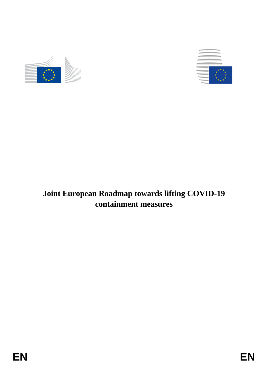



# **Joint European Roadmap towards lifting COVID-19 containment measures**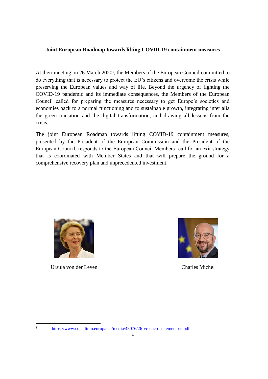## **Joint European Roadmap towards lifting COVID-19 containment measures**

At their meeting on 26 March 2020<sup>1</sup>, the Members of the European Council committed to do everything that is necessary to protect the EU's citizens and overcome the crisis while preserving the European values and way of life. Beyond the urgency of fighting the COVID-19 pandemic and its immediate consequences, the Members of the European Council called for preparing the measures necessary to get Europe's societies and economies back to a normal functioning and to sustainable growth, integrating inter alia the green transition and the digital transformation, and drawing all lessons from the crisis.

The joint European Roadmap towards lifting COVID-19 containment measures, presented by the President of the European Commission and the President of the European Council, responds to the European Council Members' call for an exit strategy that is coordinated with Member States and that will prepare the ground for a comprehensive recovery plan and unprecedented investment.



Ursula von der Leyen Charles Michel

 $\mathbf{1}$ 



<https://www.consilium.europa.eu/media/43076/26-vc-euco-statement-en.pdf>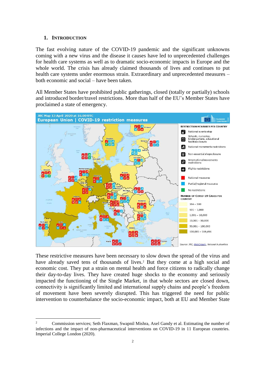#### **1. INTRODUCTION**

 $\overline{a}$ 

The fast evolving nature of the COVID-19 pandemic and the significant unknowns coming with a new virus and the disease it causes have led to unprecedented challenges for health care systems as well as to dramatic socio-economic impacts in Europe and the whole world. The crisis has already claimed thousands of lives and continues to put health care systems under enormous strain. Extraordinary and unprecedented measures – both economic and social – have been taken.

All Member States have prohibited public gatherings, closed (totally or partially) schools and introduced border/travel restrictions. More than half of the EU's Member States have proclaimed a state of emergency.



These restrictive measures have been necessary to slow down the spread of the virus and have already saved tens of thousands of lives.<sup>2</sup> But they come at a high social and economic cost. They put a strain on mental health and force citizens to radically change their day-to-day lives. They have created huge shocks to the economy and seriously impacted the functioning of the Single Market, in that whole sectors are closed down, connectivity is significantly limited and international supply chains and people's freedom of movement have been severely disrupted. This has triggered the need for public intervention to counterbalance the socio-economic impact, both at EU and Member State

<sup>&</sup>lt;sup>2</sup> Commission services; Seth Flaxman, Swapnil Mishra, Axel Gandy et al. Estimating the number of infections and the impact of non-pharmaceutical interventions on COVID-19 in 11 European countries. Imperial College London (2020).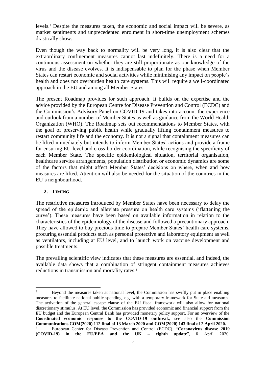levels. <sup>3</sup> Despite the measures taken, the economic and social impact will be severe, as market sentiments and unprecedented enrolment in short-time unemployment schemes drastically show.

Even though the way back to normality will be very long, it is also clear that the extraordinary confinement measures cannot last indefinitely. There is a need for a continuous assessment on whether they are still proportionate as our knowledge of the virus and the disease evolves. It is indispensable to plan for the phase when Member States can restart economic and social activities while minimising any impact on people's health and does not overburden health care systems. This will require a well-coordinated approach in the EU and among all Member States.

The present Roadmap provides for such approach. It builds on the expertise and the advice provided by the European Centre for Disease Prevention and Control (ECDC) and the Commission's Advisory Panel on COVID-19 and takes into account the experience and outlook from a number of Member States as well as guidance from the World Health Organization (WHO). The Roadmap sets out recommendations to Member States, with the goal of preserving public health while gradually lifting containment measures to restart community life and the economy. It is not a signal that containment measures can be lifted immediately but intends to inform Member States' actions and provide a frame for ensuring EU-level and cross-border coordination, while recognising the specificity of each Member State. The specific epidemiological situation, territorial organisation, healthcare service arrangements, population distribution or economic dynamics are some of the factors that might affect Member States' decisions on where, when and how measures are lifted. Attention will also be needed for the situation of the countries in the EU's neighbourhood.

## **2. TIMING**

 $\overline{a}$ 

The restrictive measures introduced by Member States have been necessary to delay the spread of the epidemic and alleviate pressure on health care systems ('flattening the curve'). These measures have been based on available information in relation to the characteristics of the epidemiology of the disease and followed a precautionary approach. They have allowed to buy precious time to prepare Member States' health care systems, procuring essential products such as personal protective and laboratory equipment as well as ventilators, including at EU level, and to launch work on vaccine development and possible treatments.

The prevailing scientific view indicates that these measures are essential, and indeed, the available data shows that a combination of stringent containment measures achieves reductions in transmission and mortality rates.<sup>4</sup>

<sup>&</sup>lt;sup>3</sup> Beyond the measures taken at national level, the Commission has swiftly put in place enabling measures to facilitate national public spending, e.g. with a temporary framework for State aid measures. The activation of the general escape clause of the EU fiscal framework will also allow for national discretionary stimulus. At EU level, the Commission has provided economic and financial support from the EU budget and the European Central Bank has provided monetary policy support. For an overview of the **Coordinated economic response to the COVID-19 outbreak**, see also the **Commission Communications COM(2020) 112 final of 13 March 2020 and COM(2020) 143 final of 2 April 2020.** <sup>4</sup> European Center for Disease Prevention and Control (ECDC), "**Coronavirus disease 2019 (COVID-19) in the EU/EEA and the UK – eighth update**", 8 April 2020,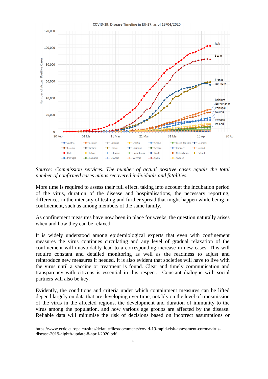

*Source: Commission services. The number of actual positive cases equals the total number of confirmed cases minus recovered individuals and fatalities.* 

More time is required to assess their full effect, taking into account the incubation period of the virus, duration of the disease and hospitalisations, the necessary reporting, differences in the intensity of testing and further spread that might happen while being in confinement, such as among members of the same family.

As confinement measures have now been in place for weeks, the question naturally arises when and how they can be relaxed.

It is widely understood among epidemiological experts that even with confinement measures the virus continues circulating and any level of gradual relaxation of the confinement will unavoidably lead to a corresponding increase in new cases. This will require constant and detailed monitoring as well as the readiness to adjust and reintroduce new measures if needed. It is also evident that societies will have to live with the virus until a vaccine or treatment is found. Clear and timely communication and transparency with citizens is essential in this respect. Constant dialogue with social partners will also be key.

Evidently, the conditions and criteria under which containment measures can be lifted depend largely on data that are developing over time, notably on the level of transmission of the virus in the affected regions, the development and duration of immunity to the virus among the population, and how various age groups are affected by the disease. Reliable data will minimise the risk of decisions based on incorrect assumptions or

 $\overline{a}$ 

https://www.ecdc.europa.eu/sites/default/files/documents/covid-19-rapid-risk-assessment-coronavirusdisease-2019-eighth-update-8-april-2020.pdf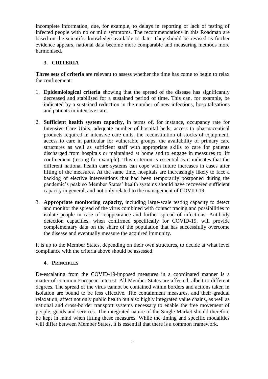incomplete information, due, for example, to delays in reporting or lack of testing of infected people with no or mild symptoms. The recommendations in this Roadmap are based on the scientific knowledge available to date. They should be revised as further evidence appears, national data become more comparable and measuring methods more harmonised.

## **3. CRITERIA**

**Three sets of criteria** are relevant to assess whether the time has come to begin to relax the confinement:

- 1. **Epidemiological criteria** showing that the spread of the disease has significantly decreased and stabilised for a sustained period of time. This can, for example, be indicated by a sustained reduction in the number of new infections, hospitalisations and patients in intensive care.
- 2. **Sufficient health system capacity**, in terms of, for instance, occupancy rate for Intensive Care Units, adequate number of hospital beds, access to pharmaceutical products required in intensive care units, the reconstitution of stocks of equipment, access to care in particular for vulnerable groups, the availability of primary care structures as well as sufficient staff with appropriate skills to care for patients discharged from hospitals or maintained at home and to engage in measures to lift confinement (testing for example). This criterion is essential as it indicates that the different national health care systems can cope with future increases in cases after lifting of the measures. At the same time, hospitals are increasingly likely to face a backlog of elective interventions that had been temporarily postponed during the pandemic's peak so Member States' health systems should have recovered sufficient capacity in general, and not only related to the management of COVID-19.
- 3. **Appropriate monitoring capacity,** including large-scale testing capacity to detect and monitor the spread of the virus combined with contact tracing and possibilities to isolate people in case of reappearance and further spread of infections. Antibody detection capacities, when confirmed specifically for COVID-19, will provide complementary data on the share of the population that has successfully overcome the disease and eventually measure the acquired immunity.

It is up to the Member States, depending on their own structures, to decide at what level compliance with the criteria above should be assessed.

## **4. PRINCIPLES**

De-escalating from the COVID-19-imposed measures in a coordinated manner is a matter of common European interest. All Member States are affected, albeit to different degrees. The spread of the virus cannot be contained within borders and actions taken in isolation are bound to be less effective. The containment measures, and their gradual relaxation, affect not only public health but also highly integrated value chains, as well as national and cross-border transport systems necessary to enable the free movement of people, goods and services. The integrated nature of the Single Market should therefore be kept in mind when lifting these measures. While the timing and specific modalities will differ between Member States, it is essential that there is a common framework.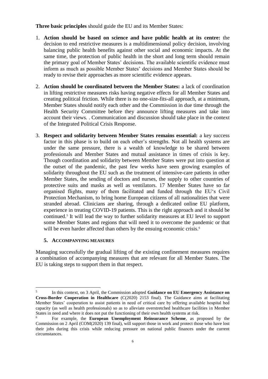#### **Three basic principles** should guide the EU and its Member States:

- 1. **Action should be based on science and have public health at its centre:** the decision to end restrictive measures is a multidimensional policy decision, involving balancing public health benefits against other social and economic impacts. At the same time, the protection of public health in the short and long term should remain the primary goal of Member States' decisions. The available scientific evidence must inform as much as possible Member States' decisions and Member States should be ready to revise their approaches as more scientific evidence appears.
- 2. **Action should be coordinated between the Member States:** a lack of coordination in lifting restrictive measures risks having negative effects for all Member States and creating political friction. While there is no one-size-fits-all approach, at a minimum, Member States should notify each other and the Commission in due time through the Health Security Committee before they announce lifting measures and take into account their views. . Communication and discussion should take place in the context of the Integrated Political Crisis Response.
- 3. **Respect and solidarity between Member States remains essential:** a key success factor in this phase is to build on each other's strengths. Not all health systems are under the same pressure, there is a wealth of knowledge to be shared between professionals and Member States and mutual assistance in times of crisis is key. Though coordination and solidarity between Member States were put into question at the outset of the pandemic, the past few weeks have seen growing examples of solidarity throughout the EU such as the treatment of intensive-care patients in other Member States, the sending of doctors and nurses, the supply to other countries of protective suits and masks as well as ventilators. 17 Member States have so far organised flights, many of them facilitated and funded through the EU's Civil Protection Mechanism, to bring home European citizens of all nationalities that were stranded abroad. Clinicians are sharing, through a dedicated online EU platform, experience in treating COVID-19 patients. This is the right approach and it should be continued.<sup>5</sup> It will lead the way to further solidarity measures at EU level to support some Member States and regions that will need it to overcome the pandemic or that will be even harder affected than others by the ensuing economic crisis.<sup>6</sup>

#### **5. ACCOMPANYING MEASURES**

 $\overline{a}$ 

Managing successfully the gradual lifting of the existing confinement measures requires a combination of accompanying measures that are relevant for all Member States. The EU is taking steps to support them in that respect.

<sup>5</sup> In this context, on 3 April, the Commission adopted **Guidance on EU Emergency Assistance on Cross-Border Cooperation in Healthcare** (C(2020) 2153 final). The Guidance aims at facilitating Member States' cooperation to assist patients in need of critical care by offering available hospital bed capacity (as well as health professionals) so as to alleviate overstretched healthcare facilities in Member States in need and where it does not put the functioning of their own health systems at risk.

<sup>6</sup> For example, the **European Unemployment Reinsurance Scheme**, as proposed by the Commission on 2 April (COM(2020) 139 final), will support those in work and protect those who have lost their jobs during this crisis while reducing pressure on national public finances under the current circumstances.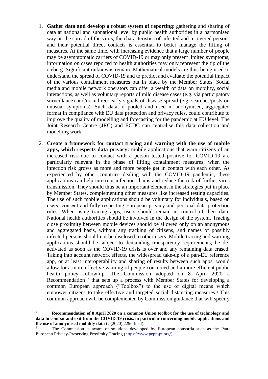- 1. **Gather data and develop a robust system of reporting**: gathering and sharing of data at national and subnational level by public health authorities in a harmonised way on the spread of the virus, the characteristics of infected and recovered persons and their potential direct contacts is essential to better manage the lifting of measures. At the same time, with increasing evidence that a large number of people may be asymptomatic carriers of COVID-19 or may only present limited symptoms, information on cases reported to health authorities may only represent the tip of the iceberg. Significant unknowns remain. Mathematical models are thus being used to understand the spread of COVID-19 and to predict and evaluate the potential impact of the various containment measures put in place by the Member States. Social media and mobile network operators can offer a wealth of data on mobility, social interactions, as well as voluntary reports of mild disease cases (e.g. via participatory surveillance) and/or indirect early signals of disease spread (e.g. searches/posts on unusual symptoms). Such data, if pooled and used in anonymised, aggregated format in compliance with EU data protection and privacy rules, could contribute to improve the quality of modelling and forecasting for the pandemic at EU level. The Joint Research Centre (JRC) and ECDC can centralise this data collection and modelling work.
- 2. **Create a framework for contact tracing and warning with the use of mobile apps, which respects data privacy:** mobile applications that warn citizens of an increased risk due to contact with a person tested positive for COVID-19 are particularly relevant in the phase of lifting containment measures, when the infection risk grows as more and more people get in contact with each other. As experienced by other countries dealing with the COVID-19 pandemic, these applications can help interrupt infection chains and reduce the risk of further virus transmission. They should thus be an important element in the strategies put in place by Member States, complementing other measures like increased testing capacities. The use of such mobile applications should be voluntary for individuals, based on users' consent and fully respecting European privacy and personal data protection rules. When using tracing apps, users should remain in control of their data. National health authorities should be involved in the design of the system. Tracing close proximity between mobile devices should be allowed only on an anonymous and aggregated basis, without any tracking of citizens, and names of possibly infected persons should not be disclosed to other users. Mobile tracing and warning applications should be subject to demanding transparency requirements, be deactivated as soon as the COVID-19 crisis is over and any remaining data erased. Taking into account network effects, the widespread take-up of a pan-EU reference app, or at least interoperability and sharing of results between such apps, would allow for a more effective warning of people concerned and a more efficient public health policy follow-up. The Commission adopted on 8 April 2020 a Recommendation<sup>7</sup> that sets up a process with Member States for developing a common European approach ("Toolbox") to the use of digital means which empower citizens to take effective and targeted social distancing measures. <sup>8</sup> This common approach will be complemented by Commission guidance that will specify

 $\overline{a}$ 

<sup>7</sup> **Recommendation of 8 April 2020 on a common Union toolbox for the use of technology and data to combat and exit from the COVID-19 crisis, in particular concerning mobile applications and the use of anonymised mobility data** (C(2020) 2296 final).

The Commission is aware of solutions developed by European consortia such as the Pan-European Privacy-Preserving Proximity Tracing [\(https://www.pepp-pt.org/\)](https://www.pepp-pt.org/).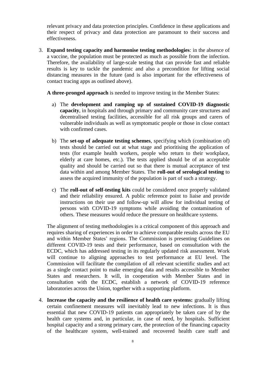relevant privacy and data protection principles. Confidence in these applications and their respect of privacy and data protection are paramount to their success and effectiveness.

3. **Expand testing capacity and harmonise testing methodologies**: in the absence of a vaccine, the population must be protected as much as possible from the infection. Therefore, the availability of large-scale testing that can provide fast and reliable results is key to tackle the pandemic and also a precondition for lifting social distancing measures in the future (and is also important for the effectiveness of contact tracing apps as outlined above).

**A three-pronged approach** is needed to improve testing in the Member States:

- a) The **development and ramping up of sustained COVID-19 diagnostic capacity**, in hospitals and through primary and community care structures and decentralised testing facilities, accessible for all risk groups and carers of vulnerable individuals as well as symptomatic people or those in close contact with confirmed cases.
- b) The **set-up of adequate testing schemes**, specifying which (combination of) tests should be carried out at what stage and prioritising the application of tests (for example health workers, people who return to their workplace, elderly at care homes, etc.). The tests applied should be of an acceptable quality and should be carried out so that there is mutual acceptance of test data within and among Member States. The **roll-out of serological testing** to assess the acquired immunity of the population is part of such a strategy.
- c) The **roll-out of self-testing kits** could be considered once properly validated and their reliability ensured. A public reference point to liaise and provide instructions on their use and follow-up will allow for individual testing of persons with COVID-19 symptoms while avoiding the contamination of others. These measures would reduce the pressure on healthcare systems.

The alignment of testing methodologies is a critical component of this approach and requires sharing of experiences in order to achieve comparable results across the EU and within Member States' regions. The Commission is presenting Guidelines on different COVID-19 tests and their performance, based on consultation with the ECDC, which has addressed testing in its regularly updated risk assessment. Work will continue to aligning approaches to test performance at EU level. The Commission will facilitate the compilation of all relevant scientific studies and act as a single contact point to make emerging data and results accessible to Member States and researchers. It will, in cooperation with Member States and in consultation with the ECDC, establish a network of COVID-19 reference laboratories across the Union, together with a supporting platform.

4. **Increase the capacity and the resilience of health care systems:** gradually lifting certain confinement measures will inevitably lead to new infections. It is thus essential that new COVID-19 patients can appropriately be taken care of by the health care systems and, in particular, in case of need, by hospitals. Sufficient hospital capacity and a strong primary care, the protection of the financing capacity of the healthcare system, well-trained and recovered health care staff and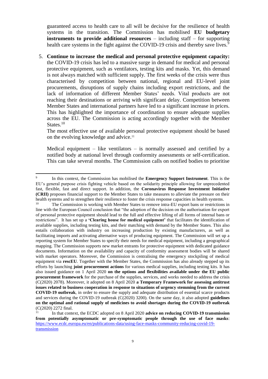guaranteed access to health care to all will be decisive for the resilience of health systems in the transition. The Commission has mobilised **EU budgetary instruments to provide additional resources** – including staff – for supporting health care systems in the fight against the COVID-19 crisis and thereby save lives.<sup>9</sup>

5. **Continue to increase the medical and personal protective equipment capacity:** the COVID-19 crisis has led to a massive surge in demand for medical and personal protective equipment, such as ventilators, testing kits and masks. Yet, this demand is not always matched with sufficient supply. The first weeks of the crisis were thus characterised by competition between national, regional and EU-level joint procurements, disruptions of supply chains including export restrictions, and the lack of information of different Member States' needs. Vital products are not reaching their destinations or arriving with significant delay. Competition between Member States and international partners have led to a significant increase in prices. This has highlighted the importance of coordination to ensure adequate supplies across the EU. The Commission is acting accordingly together with the Member States.<sup>10</sup>

The most effective use of available personal protective equipment should be based on the evolving knowledge and advice. 11

Medical equipment – like ventilators – is normally assessed and certified by a notified body at national level through conformity assessments or self-certification. This can take several months. The Commission calls on notified bodies to prioritise

 9 In this context, the Commission has mobilised the **Emergency Support Instrument**. This is the EU's general purpose crisis fighting vehicle based on the solidarity principle allowing for unprecedented fast, flexible, fast and direct support. In addition, the **Coronavirus Response Investment Initiative (CRII)** proposes financial support to the Member States to take measures to alleviate the pressure on their health systems and to strengthen their resilience to foster the crisis response capacities in health systems.<br><sup>10</sup> The Commission is working with Momber States to remove intre EU expert hans or restrictions.

The Commission is working with Member States to remove intra-EU export bans or restrictions in line with the European Council conclusion that "the adoption of the decision on the authorisation for export of personal protective equipment should lead to the full and effective lifting of all forms of internal bans or restrictions". It has set up a **'Clearing house for medical equipment'** that facilitates the identification of available supplies, including testing kits, and their matching with demand by the Member States. This also entails collaboration with industry on increasing production by existing manufacturers, as well as facilitating imports and activating alternative ways of producing equipment. The Commission will set up a reporting system for Member States to specify their needs for medical equipment, including a geographical mapping. The Commission supports new market entrants for protective equipment with dedicated guidance documents. Information on the availability and capacity of conformity assessment bodies will be shared with market operators. Moreover, the Commission is centralising the emergency stockpiling of medical equipment via **rescEU**. Together with the Member States, the Commission has also already stepped up its efforts by launching **joint procurement actions** for various medical supplies, including testing kits. It has also issued guidance on 1 April 2020 **on the options and flexibilities available under the EU public procurement framework** for the purchase of the supplies, services, and works needed to address the crisis (C(2020) 2078). Moreover, it adopted on 8 April 2020 **a Temporary Framework for assessing antitrust issues related to business cooperation in response to situations of urgency stemming from the current COVID-19 outbreak**, in order to ensure the supply and adequate distribution of essential scarce products and services during the COVID-19 outbreak (C(2020) 3200). On the same day, it also adopted **guidelines on the optimal and rational supply of medicines to avoid shortages during the COVID-19 outbreak** (C(2020) 2272 final.

<sup>11</sup> In that context, the ECDC adopted on 8 April 2020 **advice on reducing COVID-19 transmission from potentially asymptomatic or pre-symptomatic people through the use of face masks**: [https://www.ecdc.europa.eu/en/publications-data/using-face-masks-community-reducing-covid-19](https://www.ecdc.europa.eu/en/publications-data/using-face-masks-community-reducing-covid-19-transmission) [transmission](https://www.ecdc.europa.eu/en/publications-data/using-face-masks-community-reducing-covid-19-transmission)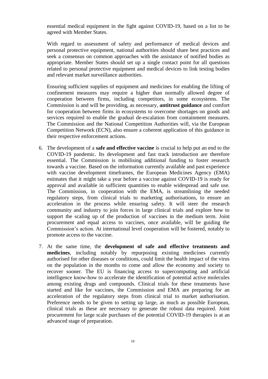essential medical equipment in the fight against COVID-19, based on a list to be agreed with Member States.

With regard to assessment of safety and performance of medical devices and personal protective equipment, national authorities should share best practices and seek a consensus on common approaches with the assistance of notified bodies as appropriate. Member States should set up a single contact point for all questions related to personal protective equipment and medical devices to link testing bodies and relevant market surveillance authorities.

Ensuring sufficient supplies of equipment and medicines for enabling the lifting of confinement measures may require a higher than normally allowed degree of cooperation between firms, including competitors, in some ecosystems. The Commission is and will be providing, as necessary, **antitrust guidance** and comfort for cooperation between firms in ecosystems to overcome shortages on goods and services required to enable the gradual de-escalation from containment measures. The Commission and the National Competition Authorities will, via the European Competition Network (ECN), also ensure a coherent application of this guidance in their respective enforcement actions.

- 6. The development of a **safe and effective vaccine** is crucial to help put an end to the COVID-19 pandemic. Its development and fast track introduction are therefore essential. The Commission is mobilising additional funding to foster research towards a vaccine. Based on the information currently available and past experience with vaccine development timeframes, the European Medicines Agency (EMA) estimates that it might take a year before a vaccine against COVID-19 is ready for approval and available in sufficient quantities to enable widespread and safe use. The Commission, in cooperation with the EMA, is streamlining the needed regulatory steps, from clinical trials to marketing authorisations, to ensure an acceleration in the process while ensuring safety. It will steer the research community and industry to join forces in large clinical trials and explore how to support the scaling up of the production of vaccines in the medium term. Joint procurement and equal access to vaccines, once available, will be guiding the Commission's action. At international level cooperation will be fostered, notably to promote access to the vaccine.
- 7. At the same time, the **development of safe and effective treatments and medicines**, including notably by repurposing existing medicines currently authorised for other diseases or conditions, could limit the health impact of the virus on the population in the months to come and allow the economy and society to recover sooner. The EU is financing access to supercomputing and artificial intelligence know-how to accelerate the identification of potential active molecules among existing drugs and compounds. Clinical trials for these treatments have started and like for vaccines, the Commission and EMA are preparing for an acceleration of the regulatory steps from clinical trial to market authorisation. Preference needs to be given to setting up large, as much as possible European, clinical trials as these are necessary to generate the robust data required. Joint procurement for large scale purchases of the potential COVID-19 therapies is at an advanced stage of preparation.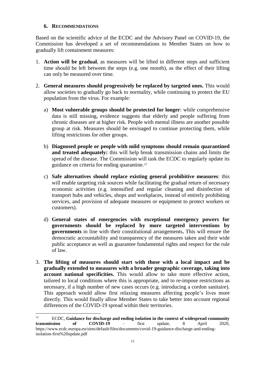### **6. RECOMMENDATIONS**

Based on the scientific advice of the ECDC and the Advisory Panel on COVID-19, the Commission has developed a set of recommendations to Member States on how to gradually lift containment measures:

- 1. **Action will be gradual**, as measures will be lifted in different steps and sufficient time should be left between the steps (e.g. one month), as the effect of their lifting can only be measured over time.
- 2. **General measures should progressively be replaced by targeted ones.** This would allow societies to gradually go back to normality, while continuing to protect the EU population from the virus. For example:
	- a) **Most vulnerable groups should be protected for longer**: while comprehensive data is still missing, evidence suggests that elderly and people suffering from chronic diseases are at higher risk. People with mental illness are another possible group at risk. Measures should be envisaged to continue protecting them, while lifting restrictions for other groups.
	- b) **Diagnosed people or people with mild symptoms should remain quarantined and treated adequately:** this will help break transmission chains and limits the spread of the disease. The Commission will task the ECDC to regularly update its guidance on criteria for ending quarantine.<sup>12</sup>
	- c) **Safe alternatives should replace existing general prohibitive measures**: this will enable targeting risk sources while facilitating the gradual return of necessary economic activities (e.g. intensified and regular cleaning and disinfection of transport hubs and vehicles, shops and workplaces, instead of entirely prohibiting services, and provision of adequate measures or equipment to protect workers or customers).
	- d) **General states of emergencies with exceptional emergency powers for governments should be replaced by more targeted interventions by governments** in line with their constitutional arrangements**.** This will ensure the democratic accountability and transparency of the measures taken and their wide public acceptance as well as guarantee fundamental rights and respect for the rule of law.
- 3. **The lifting of measures should start with those with a local impact and be gradually extended to measures with a broader geographic coverage, taking into account national specificities.** This would allow to take more effective action, tailored to local conditions where this is appropriate, and to re-impose restrictions as necessary, if a high number of new cases occurs (e.g. introducing a cordon sanitaire). This approach would allow first relaxing measures affecting people's lives more directly. This would finally allow Member States to take better into account regional differences of the COVID-19 spread within their territories.

 $12$ <sup>12</sup> ECDC, **Guidance for discharge and ending isolation in the context of widespread community transmission of COVID-19** – first update, 8 April 2020, https://www.ecdc.europa.eu/sites/default/files/documents/covid-19-guidance-discharge-and-endingisolation-first%20update.pdf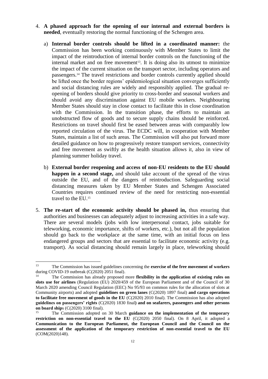- 4. **A phased approach for the opening of our internal and external borders is needed**, eventually restoring the normal functioning of the Schengen area.
	- a) **Internal border controls should be lifted in a coordinated manner:** the Commission has been working continuously with Member States to limit the impact of the reintroduction of internal border controls on the functioning of the internal market and on free movement<sup>13</sup>. It is doing also its utmost to minimize the impact of the current situation on the transport sector, including operators and passengers.<sup>14</sup> The travel restrictions and border controls currently applied should be lifted once the border regions' epidemiological situation converges sufficiently and social distancing rules are widely and responsibly applied. The gradual reopening of borders should give priority to cross-border and seasonal workers and should avoid any discrimination against EU mobile workers. Neighbouring Member States should stay in close contact to facilitate this in close coordination with the Commission. In the transition phase, the efforts to maintain an unobstructed flow of goods and to secure supply chains should be reinforced. Restrictions on travel should first be eased between areas with comparably low reported circulation of the virus. The ECDC will, in cooperation with Member States, maintain a list of such areas. The Commission will also put forward more detailed guidance on how to progressively restore transport services, connectivity and free movement as swiftly as the health situation allows it, also in view of planning summer holiday travel.
	- b) **External border reopening and access of non-EU residents to the EU should happen in a second stage,** and should take account of the spread of the virus outside the EU, and of the dangers of reintroduction. Safeguarding social distancing measures taken by EU Member States and Schengen Associated Countries requires continued review of the need for restricting non-essential travel to the EU.<sup>15</sup>
- 5. **The re-start of the economic activity should be phased in,** thus ensuring that authorities and businesses can adequately adjust to increasing activities in a safe way. There are several models (jobs with low interpersonal contact, jobs suitable for teleworking, economic importance, shifts of workers, etc.), but not all the population should go back to the workplace at the same time, with an initial focus on less endangered groups and sectors that are essential to facilitate economic activity (e.g. transport). As social distancing should remain largely in place, teleworking should

 $13$ <sup>13</sup> The Commission has issued guidelines concerning the **exercise of the free movement of workers** during COVID-19 outbreak (C(2020) 2051 final).

<sup>14</sup> The Commission has already proposed more **flexibility in the application of existing rules on slots use for airlines** (Regulation (EU) 2020/459 of the European Parliament and of the Council of 30 March 2020 amending Council Regulation (EEC) No 95/93 on common rules for the allocation of slots at Community airports) and adopted **guidelines on green lanes** (C(2020) 1897 final) **and cargo operations to facilitate free movement of goods in the EU** (C(2020) 2010 final). The Commission has also adopted **guidelines on passengers' rights** (C(2020) 1830 final**) and on seafarers, passengers and other persons on board ship**s (C(2020) 3100 final).

<sup>15</sup> The Commission adopted on 30 March **guidance on the implementation of the temporary restriction on non-essential travel to the EU** (C(2020) 2050 final). On 8 April, it adopted a **Communication to the European Parliament, the European Council and the Council on the assessment of the application of the temporary restriction of non-essential travel to the EU** (COM(2020)148).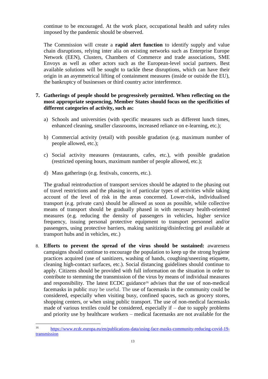continue to be encouraged. At the work place, occupational health and safety rules imposed by the pandemic should be observed.

The Commission will create a **rapid alert function** to identify supply and value chain disruptions, relying inter alia on existing networks such as Enterprise Europe Network (EEN), Clusters, Chambers of Commerce and trade associations, SME Envoys as well as other actors such as the European-level social partners. Best available solutions will be sought to tackle these disruptions, which can have their origin in an asymmetrical lifting of containment measures (inside or outside the EU), the bankruptcy of businesses or third country actor interference.

## **7. Gatherings of people should be progressively permitted. When reflecting on the most appropriate sequencing, Member States should focus on the specificities of different categories of activity, such as:**

- a) Schools and universities (with specific measures such as different lunch times, enhanced cleaning, smaller classrooms, increased reliance on e-learning, etc.);
- b) Commercial activity (retail) with possible gradation (e.g. maximum number of people allowed, etc.);
- c) Social activity measures (restaurants, cafes, etc.), with possible gradation (restricted opening hours, maximum number of people allowed, etc.);
- d) Mass gatherings (e.g. festivals, concerts, etc.).

The gradual reintroduction of transport services should be adapted to the phasing out of travel restrictions and the phasing in of particular types of activities while taking account of the level of risk in the areas concerned. Lower-risk, individualised transport (e.g. private cars) should be allowed as soon as possible, while collective means of transport should be gradually phased in with necessary health-oriented measures (e.g. reducing the density of passengers in vehicles, higher service frequency, issuing personal protective equipment to transport personnel and/or passengers, using protective barriers, making sanitizing/disinfecting gel available at transport hubs and in vehicles, etc.)

8. **Efforts to prevent the spread of the virus should be sustained:** awareness campaigns should continue to encourage the population to keep up the strong hygiene practices acquired (use of sanitizers, washing of hands, coughing/sneezing etiquette, cleaning high-contact surfaces, etc.). Social distancing guidelines should continue to apply. Citizens should be provided with full information on the situation in order to contribute to stemming the transmission of the virus by means of individual measures and responsibility. The latest ECDC guidance<sup>16</sup> advises that the use of non-medical facemasks in public may be useful. The use of facemasks in the community could be considered, especially when visiting busy, confined spaces, such as grocery stores, shopping centers, or when using public transport. The use of non-medical facemasks made of various textiles could be considered, especially if  $-$  due to supply problems and priority use by healthcare workers – medical facemasks are not available for the

 $16$ <sup>16</sup> [https://www.ecdc.europa.eu/en/publications-data/using-face-masks-community-reducing-covid-19](https://www.ecdc.europa.eu/en/publications-data/using-face-masks-community-reducing-covid-19-transmission) [transmission](https://www.ecdc.europa.eu/en/publications-data/using-face-masks-community-reducing-covid-19-transmission)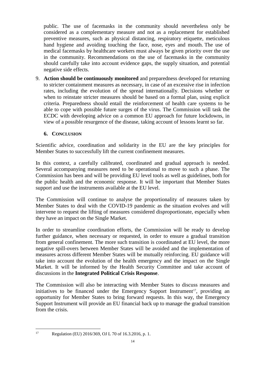public. The use of facemasks in the community should nevertheless only be considered as a complementary measure and not as a replacement for established preventive measures, such as physical distancing, respiratory etiquette, meticulous hand hygiene and avoiding touching the face, nose, eyes and mouth. The use of medical facemasks by healthcare workers must always be given priority over the use in the community. Recommendations on the use of facemasks in the community should carefully take into account evidence gaps, the supply situation, and potential negative side effects.

9. **Action should be continuously monitored** and preparedness developed for returning to stricter containment measures as necessary, in case of an excessive rise in infection rates, including the evolution of the spread internationally. Decisions whether or when to reinstate stricter measures should be based on a formal plan, using explicit criteria. Preparedness should entail the reinforcement of health care systems to be able to cope with possible future surges of the virus. The Commission will task the ECDC with developing advice on a common EU approach for future lockdowns, in view of a possible resurgence of the disease, taking account of lessons learnt so far.

## **6. CONCLUSION**

Scientific advice, coordination and solidarity in the EU are the key principles for Member States to successfully lift the current confinement measures.

In this context, a carefully calibrated, coordinated and gradual approach is needed. Several accompanying measures need to be operational to move to such a phase. The Commission has been and will be providing EU level tools as well as guidelines, both for the public health and the economic response. It will be important that Member States support and use the instruments available at the EU level.

The Commission will continue to analyse the proportionality of measures taken by Member States to deal with the COVID-19 pandemic as the situation evolves and will intervene to request the lifting of measures considered disproportionate, especially when they have an impact on the Single Market.

In order to streamline coordination efforts, the Commission will be ready to develop further guidance, when necessary or requested, in order to ensure a gradual transition from general confinement. The more such transition is coordinated at EU level, the more negative spill-overs between Member States will be avoided and the implementation of measures across different Member States will be mutually reinforcing. EU guidance will take into account the evolution of the health emergency and the impact on the Single Market. It will be informed by the Health Security Committee and take account of discussions in the **Integrated Political Crisis Response**.

The Commission will also be interacting with Member States to discuss measures and initiatives to be financed under the Emergency Support Instrument<sup>17</sup>, providing an opportunity for Member States to bring forward requests. In this way, the Emergency Support Instrument will provide an EU financial back up to manage the gradual transition from the crisis.

 $17$ 

Regulation (EU) 2016/369, OJ L 70 of 16.3.2016, p. 1.